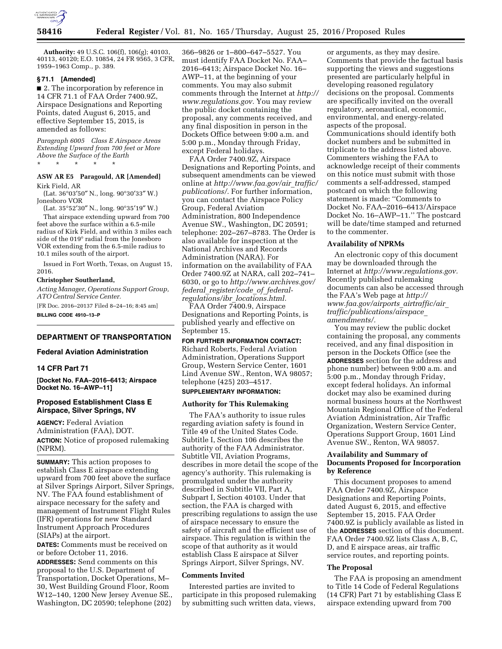

**Authority:** 49 U.S.C. 106(f), 106(g); 40103, 40113, 40120; E.O. 10854, 24 FR 9565, 3 CFR, 1959–1963 Comp., p. 389.

# **§ 71.1 [Amended]**

■ 2. The incorporation by reference in 14 CFR 71.1 of FAA Order 7400.9Z, Airspace Designations and Reporting Points, dated August 6, 2015, and effective September 15, 2015, is amended as follows:

*Paragraph 6005 Class E Airspace Areas Extending Upward from 700 feet or More Above the Surface of the Earth*  \* \* \* \* \*

# **ASW AR E5 Paragould, AR [Amended]**  Kirk Field, AR

(Lat. 36°03′50″ N., long. 90°30′33″ W.) Jonesboro VOR

(Lat. 35°52′30″ N., long. 90°35′19″ W.)

That airspace extending upward from 700 feet above the surface within a 6.5-mile radius of Kirk Field, and within 3 miles each side of the 019° radial from the Jonesboro VOR extending from the 6.5-mile radius to 10.1 miles south of the airport.

Issued in Fort Worth, Texas, on August 15, 2016.

#### **Christopher Southerland,**

*Acting Manager, Operations Support Group, ATO Central Service Center.* 

[FR Doc. 2016–20137 Filed 8–24–16; 8:45 am] **BILLING CODE 4910–13–P** 

# **DEPARTMENT OF TRANSPORTATION**

#### **Federal Aviation Administration**

#### **14 CFR Part 71**

**[Docket No. FAA–2016–6413; Airspace Docket No. 16–AWP–11]** 

# **Proposed Establishment Class E Airspace, Silver Springs, NV**

**AGENCY:** Federal Aviation Administration (FAA), DOT. **ACTION:** Notice of proposed rulemaking (NPRM).

**SUMMARY:** This action proposes to establish Class E airspace extending upward from 700 feet above the surface at Silver Springs Airport, Silver Springs, NV. The FAA found establishment of airspace necessary for the safety and management of Instrument Flight Rules (IFR) operations for new Standard Instrument Approach Procedures (SIAPs) at the airport.

**DATES:** Comments must be received on or before October 11, 2016.

**ADDRESSES:** Send comments on this proposal to the U.S. Department of Transportation, Docket Operations, M– 30, West Building Ground Floor, Room W12–140, 1200 New Jersey Avenue SE., Washington, DC 20590; telephone (202) 366–9826 or 1–800–647–5527. You must identify FAA Docket No. FAA– 2016–6413; Airspace Docket No. 16– AWP–11, at the beginning of your comments. You may also submit comments through the Internet at *[http://](http://www.regulations.gov)  [www.regulations.gov.](http://www.regulations.gov)* You may review the public docket containing the proposal, any comments received, and any final disposition in person in the Dockets Office between 9:00 a.m. and 5:00 p.m., Monday through Friday, except Federal holidays.

FAA Order 7400.9Z, Airspace Designations and Reporting Points, and subsequent amendments can be viewed online at *[http://www.faa.gov/air](http://www.faa.gov/air_traffic/publications/)*\_*traffic/ [publications/.](http://www.faa.gov/air_traffic/publications/)* For further information, you can contact the Airspace Policy Group, Federal Aviation Administration, 800 Independence Avenue SW., Washington, DC 20591; telephone: 202–267–8783. The Order is also available for inspection at the National Archives and Records Administration (NARA). For information on the availability of FAA Order 7400.9Z at NARA, call 202–741– 6030, or go to *[http://www.archives.gov/](http://www.archives.gov/federal_register/code_of_federal-regulations/ibr_locations.html)  federal*\_*[register/code](http://www.archives.gov/federal_register/code_of_federal-regulations/ibr_locations.html)*\_*of*\_*federalregulations/ibr*\_*[locations.html.](http://www.archives.gov/federal_register/code_of_federal-regulations/ibr_locations.html)* 

FAA Order 7400.9, Airspace Designations and Reporting Points, is published yearly and effective on September 15.

**FOR FURTHER INFORMATION CONTACT:**  Richard Roberts, Federal Aviation Administration, Operations Support Group, Western Service Center, 1601 Lind Avenue SW., Renton, WA 98057; telephone (425) 203–4517. **SUPPLEMENTARY INFORMATION:** 

# **Authority for This Rulemaking**

The FAA's authority to issue rules regarding aviation safety is found in Title 49 of the United States Code. Subtitle I, Section 106 describes the authority of the FAA Administrator. Subtitle VII, Aviation Programs, describes in more detail the scope of the agency's authority. This rulemaking is promulgated under the authority described in Subtitle VII, Part A, Subpart I, Section 40103. Under that section, the FAA is charged with prescribing regulations to assign the use of airspace necessary to ensure the safety of aircraft and the efficient use of airspace. This regulation is within the scope of that authority as it would establish Class E airspace at Silver Springs Airport, Silver Springs, NV.

### **Comments Invited**

Interested parties are invited to participate in this proposed rulemaking by submitting such written data, views,

or arguments, as they may desire. Comments that provide the factual basis supporting the views and suggestions presented are particularly helpful in developing reasoned regulatory decisions on the proposal. Comments are specifically invited on the overall regulatory, aeronautical, economic, environmental, and energy-related aspects of the proposal. Communications should identify both docket numbers and be submitted in triplicate to the address listed above. Commenters wishing the FAA to acknowledge receipt of their comments on this notice must submit with those comments a self-addressed, stamped postcard on which the following statement is made: ''Comments to Docket No. FAA–2016–6413/Airspace Docket No. 16–AWP–11.'' The postcard will be date/time stamped and returned to the commenter.

#### **Availability of NPRMs**

An electronic copy of this document may be downloaded through the Internet at *[http://www.regulations.gov.](http://www.regulations.gov)*  Recently published rulemaking documents can also be accessed through the FAA's Web page at *[http://](http://www.faa.gov/airports_airtraffic/air_traffic/publications/airspace_amendments/) [www.faa.gov/airports](http://www.faa.gov/airports_airtraffic/air_traffic/publications/airspace_amendments/)*\_*airtraffic/air*\_ *[traffic/publications/airspace](http://www.faa.gov/airports_airtraffic/air_traffic/publications/airspace_amendments/)*\_ *[amendments/.](http://www.faa.gov/airports_airtraffic/air_traffic/publications/airspace_amendments/)* 

You may review the public docket containing the proposal, any comments received, and any final disposition in person in the Dockets Office (see the **ADDRESSES** section for the address and phone number) between 9:00 a.m. and 5:00 p.m., Monday through Friday, except federal holidays. An informal docket may also be examined during normal business hours at the Northwest Mountain Regional Office of the Federal Aviation Administration, Air Traffic Organization, Western Service Center, Operations Support Group, 1601 Lind Avenue SW., Renton, WA 98057.

# **Availability and Summary of Documents Proposed for Incorporation by Reference**

This document proposes to amend FAA Order 7400.9Z, Airspace Designations and Reporting Points, dated August 6, 2015, and effective September 15, 2015. FAA Order 7400.9Z is publicly available as listed in the **ADDRESSES** section of this document. FAA Order 7400.9Z lists Class A, B, C, D, and E airspace areas, air traffic service routes, and reporting points.

#### **The Proposal**

The FAA is proposing an amendment to Title 14 Code of Federal Regulations (14 CFR) Part 71 by establishing Class E airspace extending upward from 700